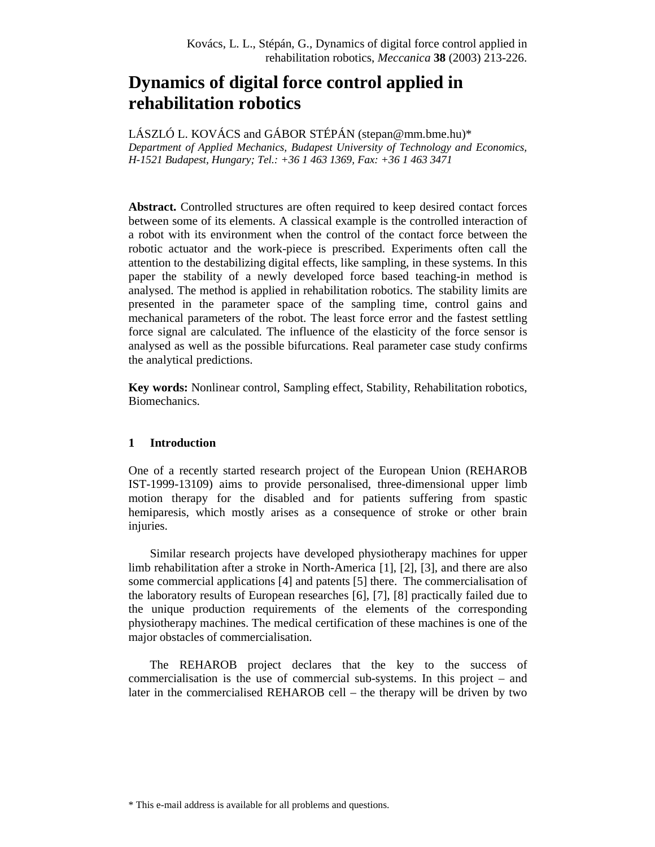# **Dynamics of digital force control applied in rehabilitation robotics**

LÁSZLÓ L. KOVÁCS and GÁBOR STÉPÁN (stepan@mm.bme.hu)\* *Department of Applied Mechanics, Budapest University of Technology and Economics, H-1521 Budapest, Hungary; Tel.: +36 1 463 1369, Fax: +36 1 463 3471* 

**Abstract.** Controlled structures are often required to keep desired contact forces between some of its elements. A classical example is the controlled interaction of a robot with its environment when the control of the contact force between the robotic actuator and the work-piece is prescribed. Experiments often call the attention to the destabilizing digital effects, like sampling, in these systems. In this paper the stability of a newly developed force based teaching-in method is analysed. The method is applied in rehabilitation robotics. The stability limits are presented in the parameter space of the sampling time, control gains and mechanical parameters of the robot. The least force error and the fastest settling force signal are calculated. The influence of the elasticity of the force sensor is analysed as well as the possible bifurcations. Real parameter case study confirms the analytical predictions.

**Key words:** Nonlinear control, Sampling effect, Stability, Rehabilitation robotics, Biomechanics.

# **1 Introduction**

One of a recently started research project of the European Union (REHAROB IST-1999-13109) aims to provide personalised, three-dimensional upper limb motion therapy for the disabled and for patients suffering from spastic hemiparesis, which mostly arises as a consequence of stroke or other brain injuries.

Similar research projects have developed physiotherapy machines for upper limb rehabilitation after a stroke in North-America [1], [2], [3], and there are also some commercial applications [4] and patents [5] there. The commercialisation of the laboratory results of European researches [6], [7], [8] practically failed due to the unique production requirements of the elements of the corresponding physiotherapy machines. The medical certification of these machines is one of the major obstacles of commercialisation.

The REHAROB project declares that the key to the success of commercialisation is the use of commercial sub-systems. In this project – and later in the commercialised REHAROB cell – the therapy will be driven by two

<sup>\*</sup> This e-mail address is available for all problems and questions.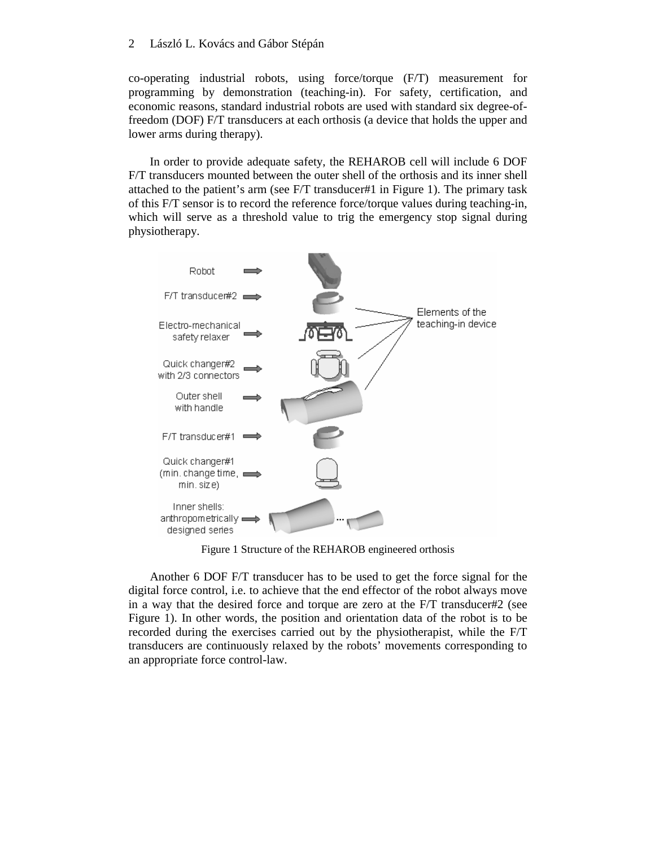co-operating industrial robots, using force/torque (F/T) measurement for programming by demonstration (teaching-in). For safety, certification, and economic reasons, standard industrial robots are used with standard six degree-offreedom (DOF) F/T transducers at each orthosis (a device that holds the upper and lower arms during therapy).

In order to provide adequate safety, the REHAROB cell will include 6 DOF F/T transducers mounted between the outer shell of the orthosis and its inner shell attached to the patient's arm (see F/T transducer#1 in Figure 1). The primary task of this F/T sensor is to record the reference force/torque values during teaching-in, which will serve as a threshold value to trig the emergency stop signal during physiotherapy.



Figure 1 Structure of the REHAROB engineered orthosis

Another 6 DOF F/T transducer has to be used to get the force signal for the digital force control, i.e. to achieve that the end effector of the robot always move in a way that the desired force and torque are zero at the F/T transducer#2 (see Figure 1). In other words, the position and orientation data of the robot is to be recorded during the exercises carried out by the physiotherapist, while the F/T transducers are continuously relaxed by the robots' movements corresponding to an appropriate force control-law.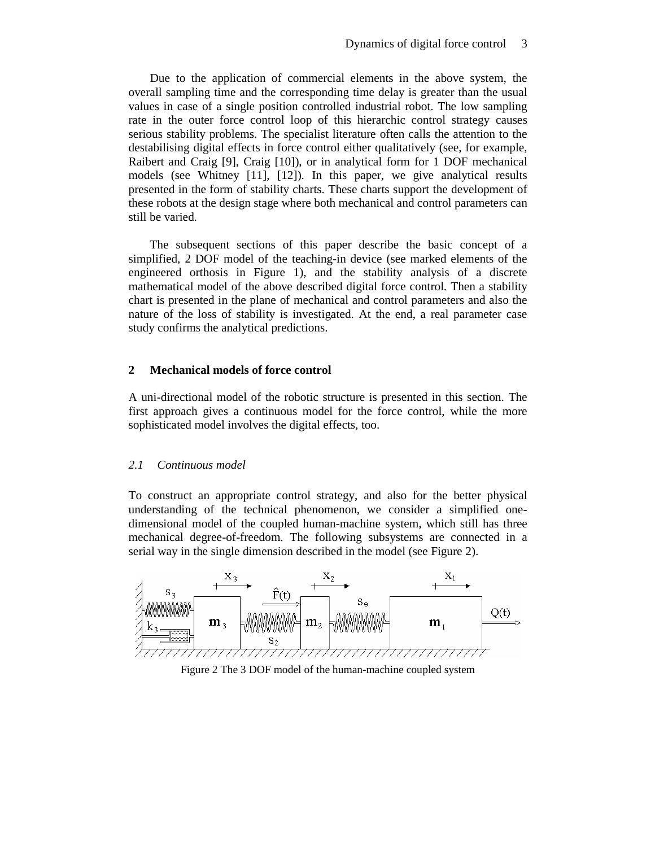Due to the application of commercial elements in the above system, the overall sampling time and the corresponding time delay is greater than the usual values in case of a single position controlled industrial robot. The low sampling rate in the outer force control loop of this hierarchic control strategy causes serious stability problems. The specialist literature often calls the attention to the destabilising digital effects in force control either qualitatively (see, for example, Raibert and Craig [9], Craig [10]), or in analytical form for 1 DOF mechanical models (see Whitney [11], [12]). In this paper, we give analytical results presented in the form of stability charts. These charts support the development of these robots at the design stage where both mechanical and control parameters can still be varied.

The subsequent sections of this paper describe the basic concept of a simplified, 2 DOF model of the teaching-in device (see marked elements of the engineered orthosis in Figure 1), and the stability analysis of a discrete mathematical model of the above described digital force control. Then a stability chart is presented in the plane of mechanical and control parameters and also the nature of the loss of stability is investigated. At the end, a real parameter case study confirms the analytical predictions.

#### **2 Mechanical models of force control**

A uni-directional model of the robotic structure is presented in this section. The first approach gives a continuous model for the force control, while the more sophisticated model involves the digital effects, too.

#### *2.1 Continuous model*

To construct an appropriate control strategy, and also for the better physical understanding of the technical phenomenon, we consider a simplified onedimensional model of the coupled human-machine system, which still has three mechanical degree-of-freedom. The following subsystems are connected in a serial way in the single dimension described in the model (see Figure 2).



Figure 2 The 3 DOF model of the human-machine coupled system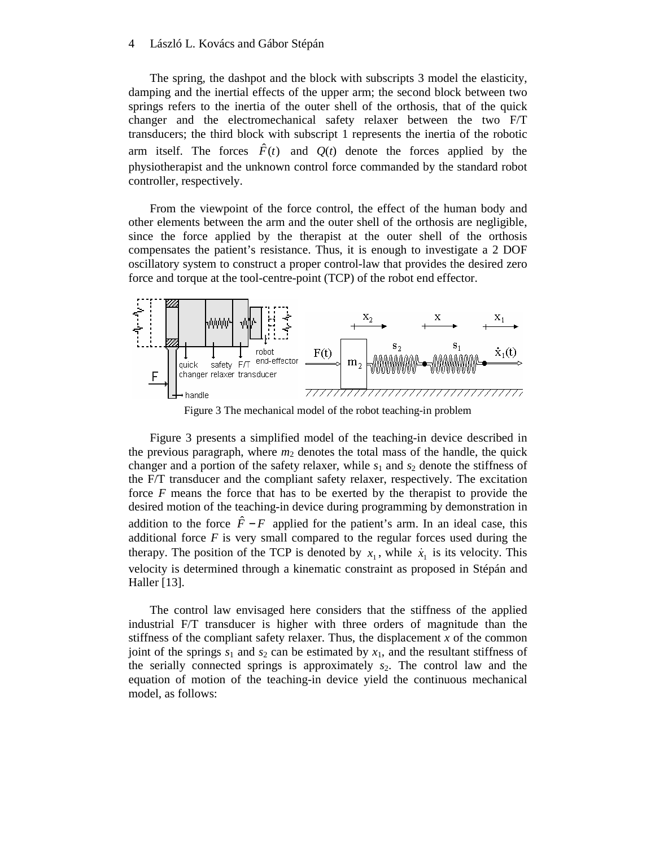The spring, the dashpot and the block with subscripts 3 model the elasticity, damping and the inertial effects of the upper arm; the second block between two springs refers to the inertia of the outer shell of the orthosis, that of the quick changer and the electromechanical safety relaxer between the two F/T transducers; the third block with subscript 1 represents the inertia of the robotic arm itself. The forces  $\hat{F}(t)$  and  $Q(t)$  denote the forces applied by the physiotherapist and the unknown control force commanded by the standard robot controller, respectively.

From the viewpoint of the force control, the effect of the human body and other elements between the arm and the outer shell of the orthosis are negligible, since the force applied by the therapist at the outer shell of the orthosis compensates the patient's resistance. Thus, it is enough to investigate a 2 DOF oscillatory system to construct a proper control-law that provides the desired zero force and torque at the tool-centre-point (TCP) of the robot end effector.



Figure 3 The mechanical model of the robot teaching-in problem

Figure 3 presents a simplified model of the teaching-in device described in the previous paragraph, where  $m_2$  denotes the total mass of the handle, the quick changer and a portion of the safety relaxer, while  $s_1$  and  $s_2$  denote the stiffness of the F/T transducer and the compliant safety relaxer, respectively. The excitation force *F* means the force that has to be exerted by the therapist to provide the desired motion of the teaching-in device during programming by demonstration in addition to the force  $\hat{F} - F$  applied for the patient's arm. In an ideal case, this additional force *F* is very small compared to the regular forces used during the therapy. The position of the TCP is denoted by  $x_1$ , while  $\dot{x}_1$  is its velocity. This velocity is determined through a kinematic constraint as proposed in Stépán and Haller [13].

The control law envisaged here considers that the stiffness of the applied industrial F/T transducer is higher with three orders of magnitude than the stiffness of the compliant safety relaxer. Thus, the displacement  $x$  of the common joint of the springs  $s_1$  and  $s_2$  can be estimated by  $x_1$ , and the resultant stiffness of the serially connected springs is approximately  $s_2$ . The control law and the equation of motion of the teaching-in device yield the continuous mechanical model, as follows: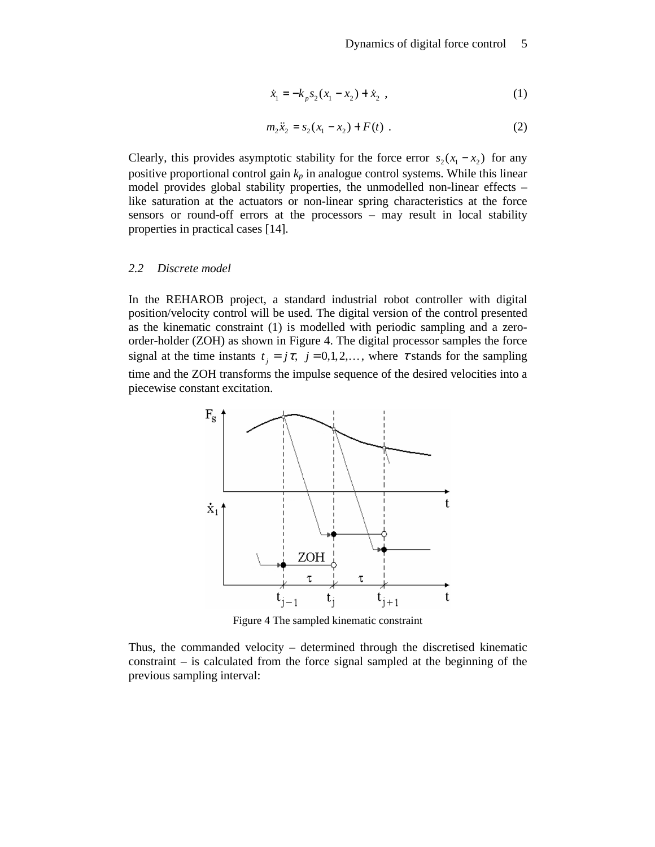$$
\dot{x}_1 = -k_p s_2 (x_1 - x_2) + \dot{x}_2 , \qquad (1)
$$

$$
m_2\ddot{x}_2 = s_2(x_1 - x_2) + F(t) \tag{2}
$$

Clearly, this provides asymptotic stability for the force error  $s_2(x_1 - x_2)$  for any positive proportional control gain  $k_p$  in analogue control systems. While this linear model provides global stability properties, the unmodelled non-linear effects – like saturation at the actuators or non-linear spring characteristics at the force sensors or round-off errors at the processors – may result in local stability properties in practical cases [14].

#### *2.2 Discrete model*

In the REHAROB project, a standard industrial robot controller with digital position/velocity control will be used. The digital version of the control presented as the kinematic constraint (1) is modelled with periodic sampling and a zeroorder-holder (ZOH) as shown in Figure 4. The digital processor samples the force signal at the time instants  $t_j = j\tau$ ,  $j = 0, 1, 2, \dots$ , where  $\tau$  stands for the sampling time and the ZOH transforms the impulse sequence of the desired velocities into a piecewise constant excitation.



Figure 4 The sampled kinematic constraint

Thus, the commanded velocity – determined through the discretised kinematic constraint – is calculated from the force signal sampled at the beginning of the previous sampling interval: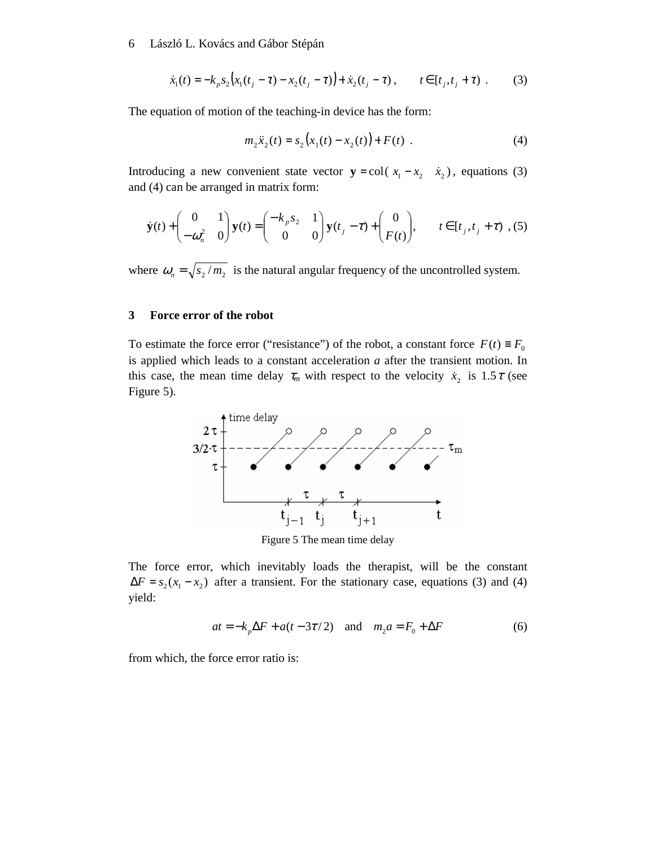$$
\dot{x}_1(t) = -k_p s_2 \big( x_1(t_j - \tau) - x_2(t_j - \tau) \big) + \dot{x}_2(t_j - \tau) , \qquad t \in [t_j, t_j + \tau) . \tag{3}
$$

The equation of motion of the teaching-in device has the form:

$$
m_2\ddot{x}_2(t) = s_2(x_1(t) - x_2(t)) + F(t) \tag{4}
$$

Introducing a new convenient state vector  $y = col(x_1 - x_2, x_2)$ , equations (3) and (4) can be arranged in matrix form:

$$
\dot{\mathbf{y}}(t) + \begin{pmatrix} 0 & 1 \\ -\omega_n^2 & 0 \end{pmatrix} \mathbf{y}(t) = \begin{pmatrix} -k_p s_2 & 1 \\ 0 & 0 \end{pmatrix} \mathbf{y}(t_j - \tau) + \begin{pmatrix} 0 \\ F(t) \end{pmatrix}, \qquad t \in [t_j, t_j + \tau) , (5)
$$

where  $\omega_n = \sqrt{s_2/m_2}$  is the natural angular frequency of the uncontrolled system.

#### **3 Force error of the robot**

To estimate the force error ("resistance") of the robot, a constant force  $F(t) \equiv F_0$ is applied which leads to a constant acceleration *a* after the transient motion. In this case, the mean time delay  $\tau_m$  with respect to the velocity  $\dot{x}_2$  is 1.5 $\tau$  (see Figure 5).



Figure 5 The mean time delay

The force error, which inevitably loads the therapist, will be the constant  $\Delta F = s_2(x_1 - x_2)$  after a transient. For the stationary case, equations (3) and (4) yield:

$$
at = -k_p \Delta F + a(t - 3\tau/2) \quad \text{and} \quad m_2 a = F_0 + \Delta F \tag{6}
$$

from which, the force error ratio is: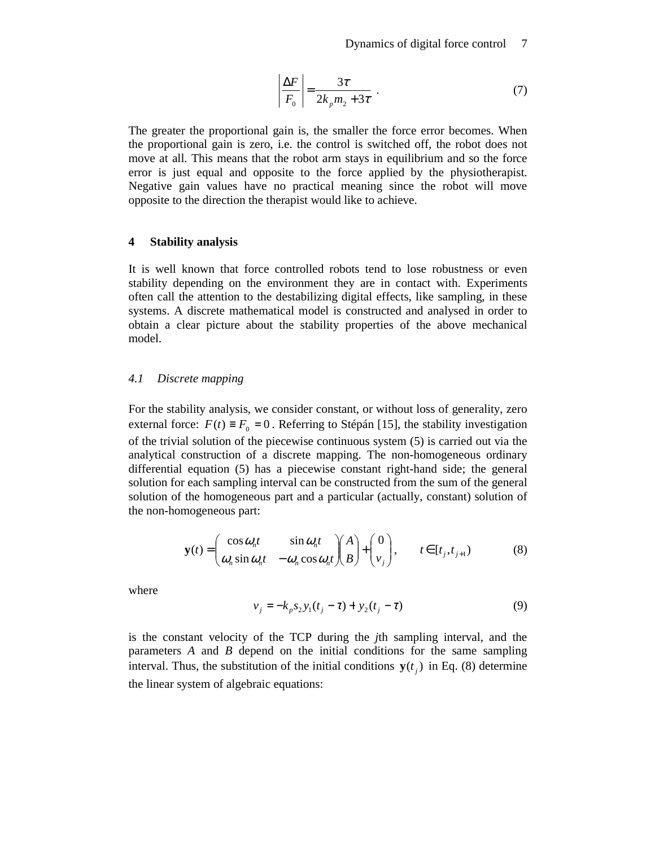$$
\left| \frac{\Delta F}{F_0} \right| = \frac{3\tau}{2k_p m_2 + 3\tau} \tag{7}
$$

The greater the proportional gain is, the smaller the force error becomes. When the proportional gain is zero, i.e. the control is switched off, the robot does not move at all. This means that the robot arm stays in equilibrium and so the force error is just equal and opposite to the force applied by the physiotherapist. Negative gain values have no practical meaning since the robot will move opposite to the direction the therapist would like to achieve.

#### **4 Stability analysis**

It is well known that force controlled robots tend to lose robustness or even stability depending on the environment they are in contact with. Experiments often call the attention to the destabilizing digital effects, like sampling, in these systems. A discrete mathematical model is constructed and analysed in order to obtain a clear picture about the stability properties of the above mechanical model.

## *4.1 Discrete mapping*

For the stability analysis, we consider constant, or without loss of generality, zero external force:  $F(t) \equiv F_0 = 0$ . Referring to Stépán [15], the stability investigation of the trivial solution of the piecewise continuous system (5) is carried out via the analytical construction of a discrete mapping. The non-homogeneous ordinary differential equation (5) has a piecewise constant right-hand side; the general solution for each sampling interval can be constructed from the sum of the general solution of the homogeneous part and a particular (actually, constant) solution of the non-homogeneous part:

$$
\mathbf{y}(t) = \begin{pmatrix} \cos \omega_n t & \sin \omega_n t \\ \omega_n \sin \omega_n t & -\omega_n \cos \omega_n t \end{pmatrix} \begin{pmatrix} A \\ B \end{pmatrix} + \begin{pmatrix} 0 \\ v_j \end{pmatrix}, \qquad t \in [t_j, t_{j+1}) \tag{8}
$$

where

$$
v_j = -k_p s_2 y_1 (t_j - \tau) + y_2 (t_j - \tau)
$$
\n(9)

is the constant velocity of the TCP during the *j*th sampling interval, and the parameters *A* and *B* depend on the initial conditions for the same sampling interval. Thus, the substitution of the initial conditions  $y(t_j)$  in Eq. (8) determine the linear system of algebraic equations: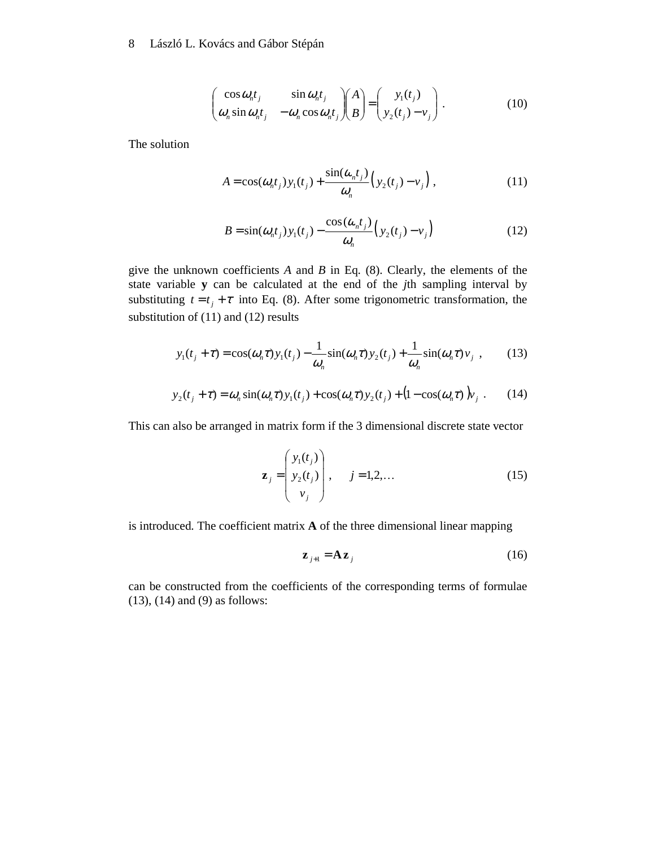$$
\begin{pmatrix}\n\cos \omega_n t_j & \sin \omega_n t_j \\
\omega_n \sin \omega_n t_j & -\omega_n \cos \omega_n t_j\n\end{pmatrix}\n\begin{pmatrix}\nA \\
B\n\end{pmatrix} =\n\begin{pmatrix}\ny_1(t_j) \\
y_2(t_j) - v_j\n\end{pmatrix}.
$$
\n(10)

The solution

$$
A = \cos(\omega_n t_j) y_1(t_j) + \frac{\sin(\omega_n t_j)}{\omega_n} \Big( y_2(t_j) - v_j \Big) , \qquad (11)
$$

$$
B = \sin(\omega_n t_j) y_1(t_j) - \frac{\cos(\omega_n t_j)}{\omega_n} \Big( y_2(t_j) - v_j \Big)
$$
 (12)

give the unknown coefficients *A* and *B* in Eq. (8). Clearly, the elements of the state variable **y** can be calculated at the end of the *j*th sampling interval by substituting  $t = t_j + \tau$  into Eq. (8). After some trigonometric transformation, the substitution of (11) and (12) results

$$
y_1(t_j + \tau) = \cos(\omega_n \tau) y_1(t_j) - \frac{1}{\omega_n} \sin(\omega_n \tau) y_2(t_j) + \frac{1}{\omega_n} \sin(\omega_n \tau) v_j \tag{13}
$$

$$
y_2(t_j + \tau) = \omega_n \sin(\omega_n \tau) y_1(t_j) + \cos(\omega_n \tau) y_2(t_j) + (1 - \cos(\omega_n \tau)) y_j.
$$
 (14)

This can also be arranged in matrix form if the 3 dimensional discrete state vector

$$
\mathbf{z}_{j} = \begin{pmatrix} y_{1}(t_{j}) \\ y_{2}(t_{j}) \\ v_{j} \end{pmatrix}, \quad j = 1, 2, \dots
$$
 (15)

is introduced. The coefficient matrix **A** of the three dimensional linear mapping

$$
\mathbf{z}_{j+1} = \mathbf{A}\mathbf{z}_j \tag{16}
$$

can be constructed from the coefficients of the corresponding terms of formulae (13), (14) and (9) as follows: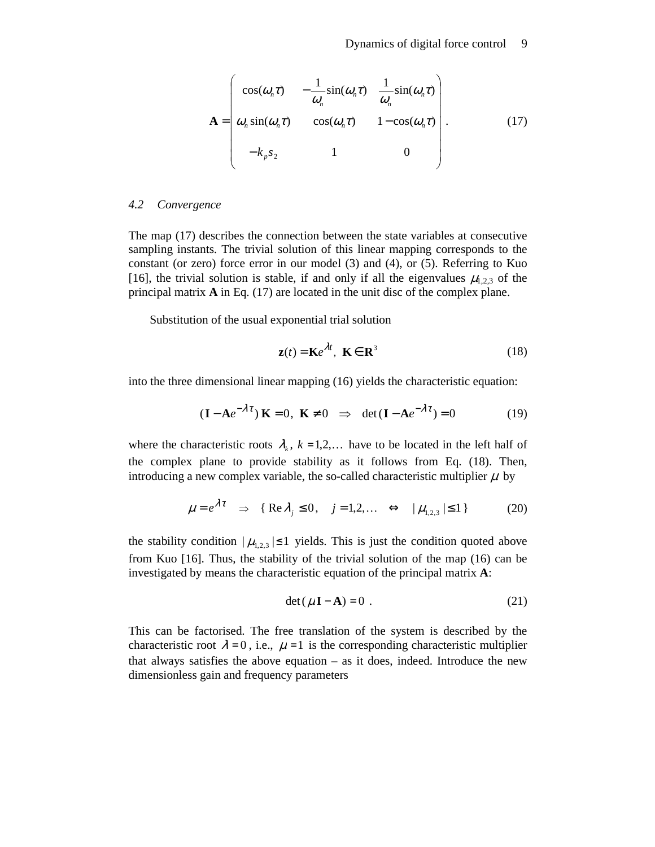$$
\mathbf{A} = \begin{pmatrix} \cos(\omega_n \tau) & -\frac{1}{\omega_n} \sin(\omega_n \tau) & \frac{1}{\omega_n} \sin(\omega_n \tau) \\ \omega_n \sin(\omega_n \tau) & \cos(\omega_n \tau) & 1 - \cos(\omega_n \tau) \\ -k_p s_2 & 1 & 0 \end{pmatrix}.
$$
 (17)

#### *4.2 Convergence*

The map (17) describes the connection between the state variables at consecutive sampling instants. The trivial solution of this linear mapping corresponds to the constant (or zero) force error in our model (3) and (4), or (5). Referring to Kuo [16], the trivial solution is stable, if and only if all the eigenvalues  $\mu_{1,2,3}$  of the principal matrix **A** in Eq. (17) are located in the unit disc of the complex plane.

Substitution of the usual exponential trial solution

$$
\mathbf{z}(t) = \mathbf{K}e^{\lambda t}, \ \mathbf{K} \in \mathbf{R}^3 \tag{18}
$$

into the three dimensional linear mapping (16) yields the characteristic equation:

$$
(\mathbf{I} - \mathbf{A}e^{-\lambda \tau}) \mathbf{K} = 0, \ \mathbf{K} \neq 0 \implies \det(\mathbf{I} - \mathbf{A}e^{-\lambda \tau}) = 0 \tag{19}
$$

where the characteristic roots  $\lambda_k$ ,  $k = 1, 2, \dots$  have to be located in the left half of the complex plane to provide stability as it follows from Eq. (18). Then, introducing a new complex variable, the so-called characteristic multiplier  $\mu$  by

$$
\mu = e^{\lambda \tau} \Rightarrow \{ \text{Re } \lambda_j \le 0, j = 1, 2, \dots \Leftrightarrow |\mu_{1,2,3}| \le 1 \}
$$
 (20)

the stability condition  $|\mu_{1,2,3}| \leq 1$  yields. This is just the condition quoted above from Kuo [16]. Thus, the stability of the trivial solution of the map (16) can be investigated by means the characteristic equation of the principal matrix **A**:

$$
\det(\mu \mathbf{I} - \mathbf{A}) = 0 \tag{21}
$$

This can be factorised. The free translation of the system is described by the characteristic root  $\lambda = 0$ , i.e.,  $\mu = 1$  is the corresponding characteristic multiplier that always satisfies the above equation  $-$  as it does, indeed. Introduce the new dimensionless gain and frequency parameters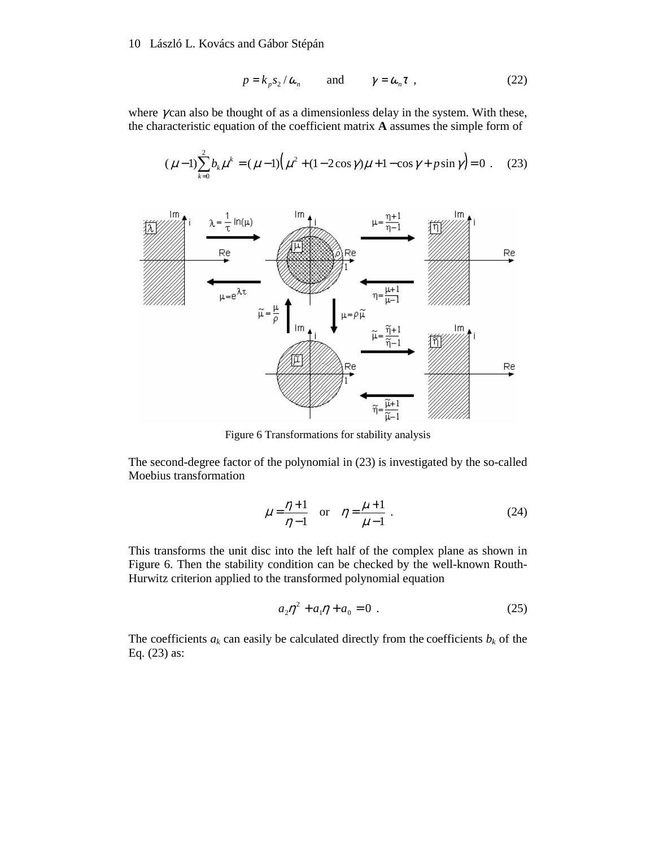$$
p = k_p s_2 / \omega_n \quad \text{and} \quad \gamma = \omega_n \tau , \qquad (22)
$$

where  $\gamma$  can also be thought of as a dimensionless delay in the system. With these, the characteristic equation of the coefficient matrix **A** assumes the simple form of

$$
(\mu - 1) \sum_{k=0}^{2} b_k \mu^k = (\mu - 1) (\mu^2 + (1 - 2\cos\gamma)\mu + 1 - \cos\gamma + p\sin\gamma) = 0
$$
 (23)



Figure 6 Transformations for stability analysis

The second-degree factor of the polynomial in (23) is investigated by the so-called Moebius transformation

$$
\mu = \frac{\eta + 1}{\eta - 1} \quad \text{or} \quad \eta = \frac{\mu + 1}{\mu - 1} \tag{24}
$$

This transforms the unit disc into the left half of the complex plane as shown in Figure 6. Then the stability condition can be checked by the well-known Routh-Hurwitz criterion applied to the transformed polynomial equation

$$
a_2 \eta^2 + a_1 \eta + a_0 = 0 \tag{25}
$$

The coefficients  $a_k$  can easily be calculated directly from the coefficients  $b_k$  of the Eq. (23) as: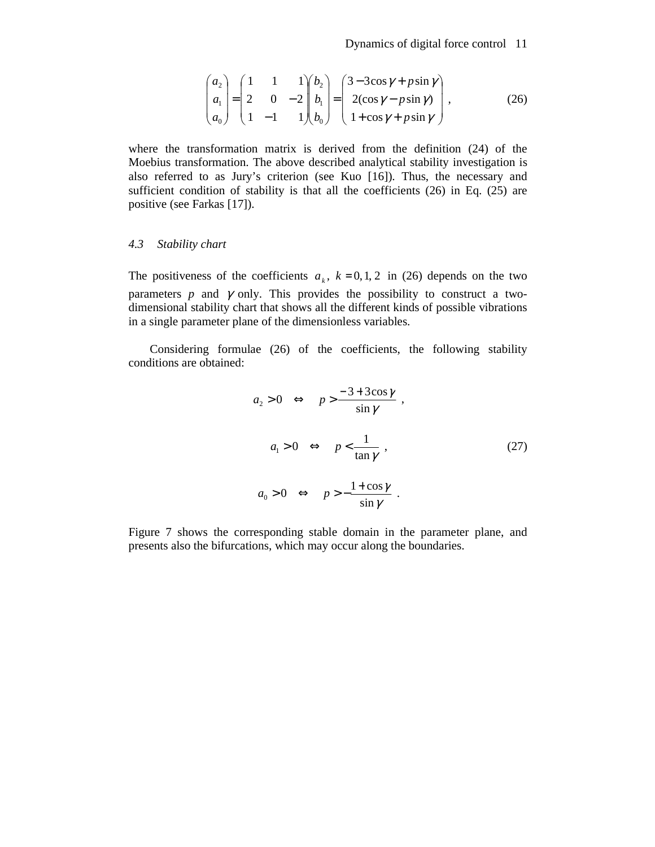$$
\begin{pmatrix} a_2 \\ a_1 \\ a_0 \end{pmatrix} = \begin{pmatrix} 1 & 1 & 1 \\ 2 & 0 & -2 \\ 1 & -1 & 1 \end{pmatrix} \begin{pmatrix} b_2 \\ b_1 \\ b_0 \end{pmatrix} = \begin{pmatrix} 3 - 3\cos\gamma + p\sin\gamma \\ 2(\cos\gamma - p\sin\gamma) \\ 1 + \cos\gamma + p\sin\gamma \end{pmatrix},
$$
(26)

where the transformation matrix is derived from the definition (24) of the Moebius transformation. The above described analytical stability investigation is also referred to as Jury's criterion (see Kuo [16]). Thus, the necessary and sufficient condition of stability is that all the coefficients (26) in Eq. (25) are positive (see Farkas [17]).

#### *4.3 Stability chart*

The positiveness of the coefficients  $a_k$ ,  $k = 0, 1, 2$  in (26) depends on the two parameters  $p$  and  $\gamma$  only. This provides the possibility to construct a twodimensional stability chart that shows all the different kinds of possible vibrations in a single parameter plane of the dimensionless variables.

Considering formulae (26) of the coefficients, the following stability conditions are obtained:

$$
a_2 > 0 \Leftrightarrow p > \frac{-3 + 3\cos\gamma}{\sin\gamma},
$$
  
\n
$$
a_1 > 0 \Leftrightarrow p < \frac{1}{\tan\gamma},
$$
  
\n
$$
a_0 > 0 \Leftrightarrow p > -\frac{1 + \cos\gamma}{\sin\gamma}.
$$
\n(27)

Figure 7 shows the corresponding stable domain in the parameter plane, and presents also the bifurcations, which may occur along the boundaries.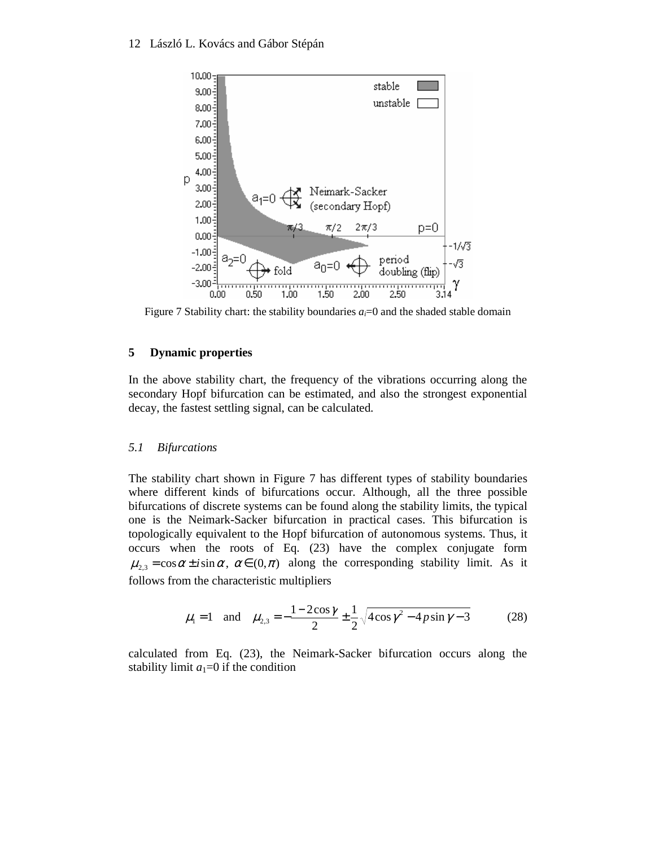

Figure 7 Stability chart: the stability boundaries  $a_i=0$  and the shaded stable domain

# **5 Dynamic properties**

In the above stability chart, the frequency of the vibrations occurring along the secondary Hopf bifurcation can be estimated, and also the strongest exponential decay, the fastest settling signal, can be calculated.

# *5.1 Bifurcations*

The stability chart shown in Figure 7 has different types of stability boundaries where different kinds of bifurcations occur. Although, all the three possible bifurcations of discrete systems can be found along the stability limits, the typical one is the Neimark-Sacker bifurcation in practical cases. This bifurcation is topologically equivalent to the Hopf bifurcation of autonomous systems. Thus, it occurs when the roots of Eq. (23) have the complex conjugate form  $\mu_{2,3} = \cos \alpha \pm i \sin \alpha$ ,  $\alpha \in (0, \pi)$  along the corresponding stability limit. As it follows from the characteristic multipliers

$$
\mu_1 = 1
$$
 and  $\mu_{2,3} = -\frac{1 - 2\cos\gamma}{2} \pm \frac{1}{2} \sqrt{4\cos\gamma^2 - 4p\sin\gamma - 3}$  (28)

calculated from Eq. (23), the Neimark-Sacker bifurcation occurs along the stability limit  $a_1=0$  if the condition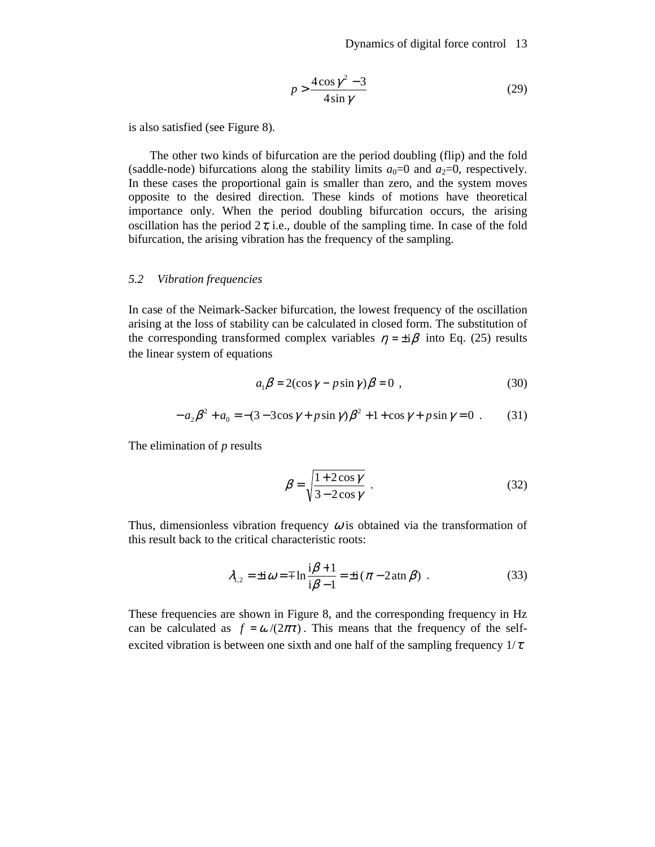$$
p > \frac{4\cos\gamma^2 - 3}{4\sin\gamma} \tag{29}
$$

is also satisfied (see Figure 8).

The other two kinds of bifurcation are the period doubling (flip) and the fold (saddle-node) bifurcations along the stability limits  $a_0=0$  and  $a_2=0$ , respectively. In these cases the proportional gain is smaller than zero, and the system moves opposite to the desired direction. These kinds of motions have theoretical importance only. When the period doubling bifurcation occurs, the arising oscillation has the period  $2\tau$ , i.e., double of the sampling time. In case of the fold bifurcation, the arising vibration has the frequency of the sampling.

#### *5.2 Vibration frequencies*

In case of the Neimark-Sacker bifurcation, the lowest frequency of the oscillation arising at the loss of stability can be calculated in closed form. The substitution of the corresponding transformed complex variables  $\eta = \pm i\beta$  into Eq. (25) results the linear system of equations

$$
a_1 \beta = 2(\cos \gamma - p \sin \gamma) \beta = 0 \tag{30}
$$

$$
-a_2\beta^2 + a_0 = -(3 - 3\cos\gamma + p\sin\gamma)\beta^2 + 1 + \cos\gamma + p\sin\gamma = 0
$$
 (31)

The elimination of *p* results

$$
\beta = \sqrt{\frac{1 + 2\cos\gamma}{3 - 2\cos\gamma}} \tag{32}
$$

Thus, dimensionless vibration frequency  $\omega$  is obtained via the transformation of this result back to the critical characteristic roots:

$$
\lambda_{1,2} = \pm i \omega = \mp \ln \frac{i\beta + 1}{i\beta - 1} = \pm i (\pi - 2 \operatorname{atn} \beta) . \tag{33}
$$

These frequencies are shown in Figure 8, and the corresponding frequency in Hz can be calculated as  $f = \omega/(2\pi\tau)$ . This means that the frequency of the selfexcited vibration is between one sixth and one half of the sampling frequency  $1/\tau$ .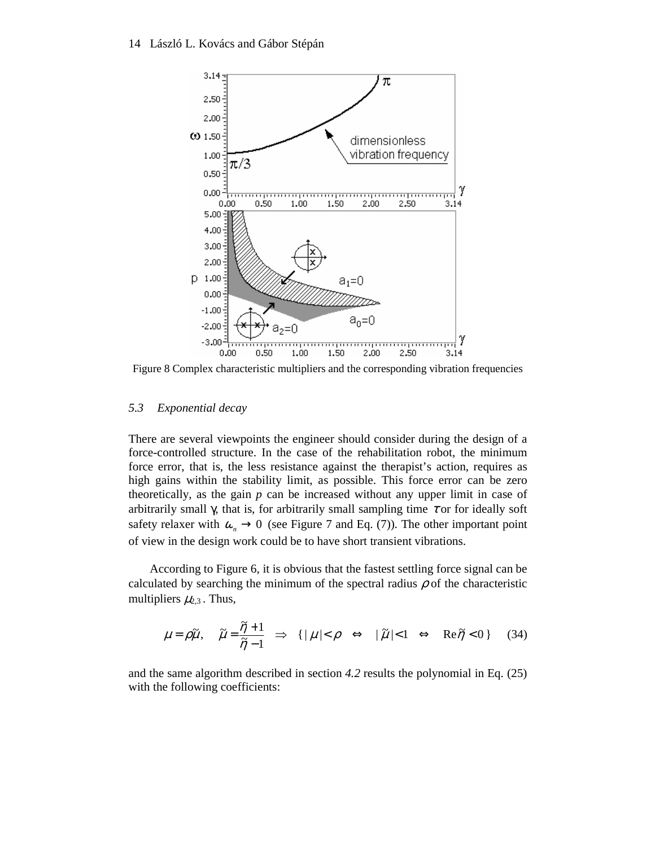

Figure 8 Complex characteristic multipliers and the corresponding vibration frequencies

#### *5.3 Exponential decay*

There are several viewpoints the engineer should consider during the design of a force-controlled structure. In the case of the rehabilitation robot, the minimum force error, that is, the less resistance against the therapist's action, requires as high gains within the stability limit, as possible. This force error can be zero theoretically, as the gain *p* can be increased without any upper limit in case of arbitrarily small  $\gamma$ , that is, for arbitrarily small sampling time  $\tau$  or for ideally soft safety relaxer with  $\omega_n \to 0$  (see Figure 7 and Eq. (7)). The other important point of view in the design work could be to have short transient vibrations.

According to Figure 6, it is obvious that the fastest settling force signal can be calculated by searching the minimum of the spectral radius  $\rho$  of the characteristic multipliers  $\mu_{2,3}$ . Thus,

$$
\mu = \rho \tilde{\mu}, \quad \tilde{\mu} = \frac{\tilde{\eta} + 1}{\tilde{\eta} - 1} \implies \{ |\mu| < \rho \iff |\tilde{\mu}| < 1 \iff \text{Re}\tilde{\eta} < 0 \} \tag{34}
$$

and the same algorithm described in section *4.2* results the polynomial in Eq. (25) with the following coefficients: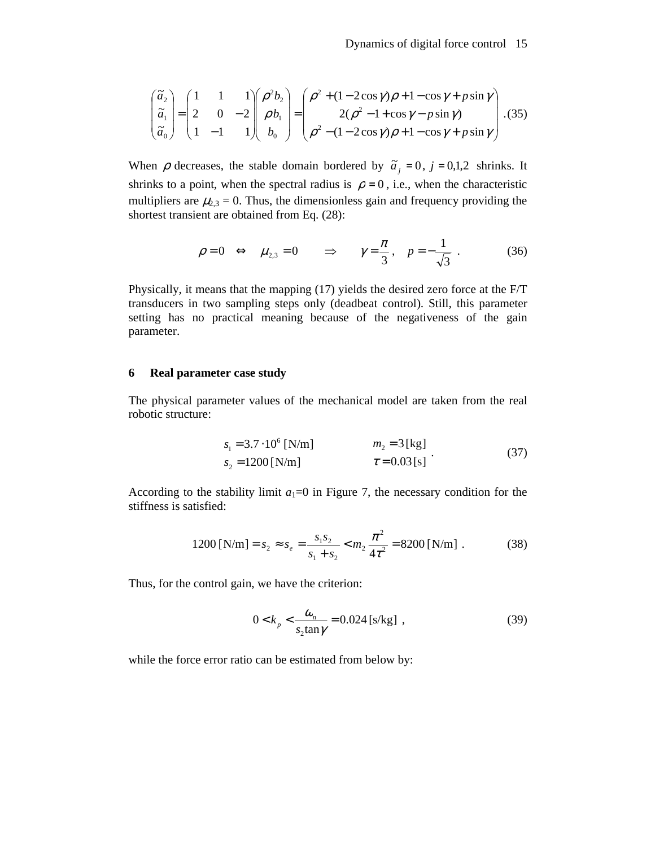$$
\begin{pmatrix} \tilde{a}_2 \\ \tilde{a}_1 \\ \tilde{a}_0 \end{pmatrix} = \begin{pmatrix} 1 & 1 & 1 \\ 2 & 0 & -2 \\ 1 & -1 & 1 \end{pmatrix} \begin{pmatrix} \rho^2 b_2 \\ \rho b_1 \\ b_0 \end{pmatrix} = \begin{pmatrix} \rho^2 + (1 - 2\cos\gamma)\rho + 1 - \cos\gamma + p\sin\gamma \\ 2(\rho^2 - 1 + \cos\gamma - p\sin\gamma) \\ \rho^2 - (1 - 2\cos\gamma)\rho + 1 - \cos\gamma + p\sin\gamma \end{pmatrix} . (35)
$$

When  $\rho$  decreases, the stable domain bordered by  $\tilde{a}_j = 0$ ,  $j = 0,1,2$  shrinks. It shrinks to a point, when the spectral radius is  $\rho = 0$ , i.e., when the characteristic multipliers are  $\mu_{2,3} = 0$ . Thus, the dimensionless gain and frequency providing the shortest transient are obtained from Eq. (28):

$$
\rho = 0 \iff \mu_{2,3} = 0 \qquad \Rightarrow \qquad \gamma = \frac{\pi}{3}, \quad p = -\frac{1}{\sqrt{3}} \tag{36}
$$

Physically, it means that the mapping (17) yields the desired zero force at the F/T transducers in two sampling steps only (deadbeat control). Still, this parameter setting has no practical meaning because of the negativeness of the gain parameter.

#### **6 Real parameter case study**

The physical parameter values of the mechanical model are taken from the real robotic structure:

$$
s_1 = 3.7 \cdot 10^6 \text{ [N/m]} \qquad m_2 = 3 \text{ [kg]} s_2 = 1200 \text{ [N/m]} \qquad \tau = 0.03 \text{ [s]} \qquad (37)
$$

According to the stability limit  $a_1=0$  in Figure 7, the necessary condition for the stiffness is satisfied:

$$
1200 \text{ [N/m]} = s_2 \approx s_e = \frac{s_1 s_2}{s_1 + s_2} < m_2 \frac{\pi^2}{4\tau^2} = 8200 \text{ [N/m]} \tag{38}
$$

Thus, for the control gain, we have the criterion:

$$
0 < k_p < \frac{\omega_n}{s_2 \tan \gamma} = 0.024 \, [\text{s/kg}] \tag{39}
$$

while the force error ratio can be estimated from below by: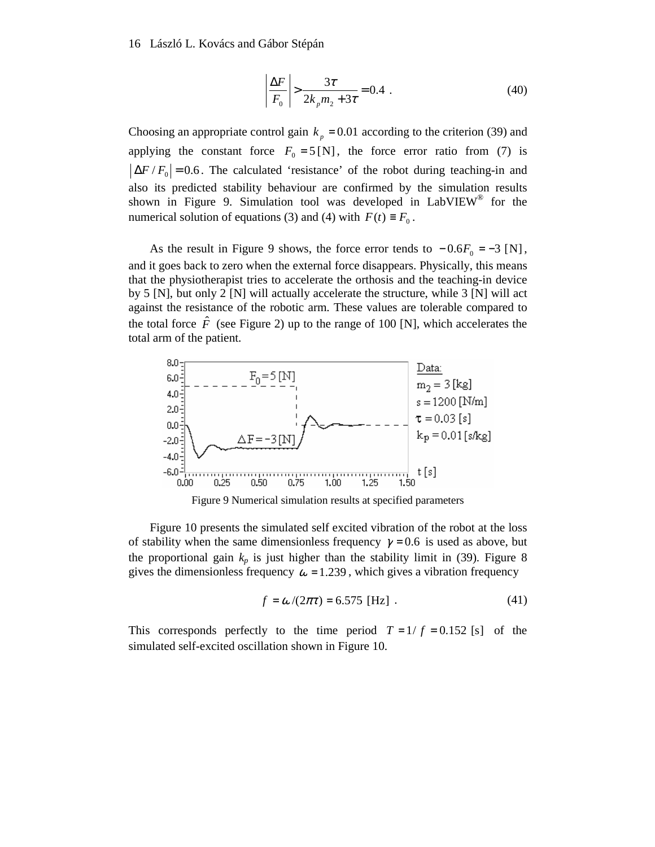$$
\left| \frac{\Delta F}{F_0} \right| > \frac{3\tau}{2k_p m_2 + 3\tau} = 0.4 \tag{40}
$$

Choosing an appropriate control gain  $k_p = 0.01$  according to the criterion (39) and applying the constant force  $F_0 = 5 \text{ [N]}$ , the force error ratio from (7) is  $|\Delta F/F_0|$  = 0.6. The calculated 'resistance' of the robot during teaching-in and also its predicted stability behaviour are confirmed by the simulation results shown in Figure 9. Simulation tool was developed in LabVIEW® for the numerical solution of equations (3) and (4) with  $F(t) \equiv F_0$ .

As the result in Figure 9 shows, the force error tends to  $-0.6F_0 = -3$  [N], and it goes back to zero when the external force disappears. Physically, this means that the physiotherapist tries to accelerate the orthosis and the teaching-in device by 5 [N], but only 2 [N] will actually accelerate the structure, while 3 [N] will act against the resistance of the robotic arm. These values are tolerable compared to the total force  $\hat{F}$  (see Figure 2) up to the range of 100 [N], which accelerates the total arm of the patient.



Figure 9 Numerical simulation results at specified parameters

Figure 10 presents the simulated self excited vibration of the robot at the loss of stability when the same dimensionless frequency  $\gamma = 0.6$  is used as above, but the proportional gain  $k_p$  is just higher than the stability limit in (39). Figure 8 gives the dimensionless frequency  $\omega = 1.239$ , which gives a vibration frequency

$$
f = \omega / (2\pi \tau) = 6.575 \text{ [Hz]}.
$$
 (41)

This corresponds perfectly to the time period  $T = 1/f = 0.152$  [s] of the simulated self-excited oscillation shown in Figure 10.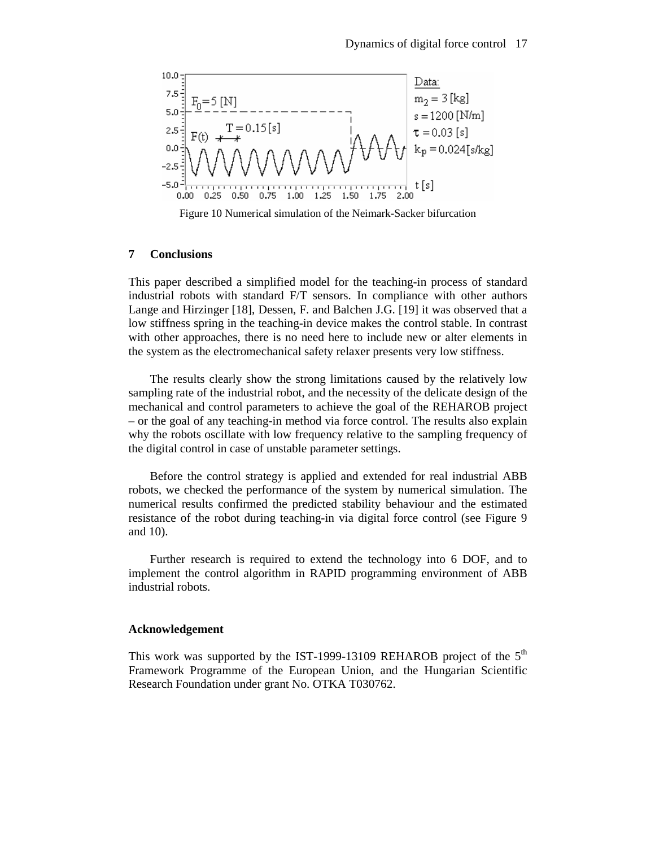

Figure 10 Numerical simulation of the Neimark-Sacker bifurcation

# **7 Conclusions**

This paper described a simplified model for the teaching-in process of standard industrial robots with standard F/T sensors. In compliance with other authors Lange and Hirzinger [18], Dessen, F. and Balchen J.G. [19] it was observed that a low stiffness spring in the teaching-in device makes the control stable. In contrast with other approaches, there is no need here to include new or alter elements in the system as the electromechanical safety relaxer presents very low stiffness.

The results clearly show the strong limitations caused by the relatively low sampling rate of the industrial robot, and the necessity of the delicate design of the mechanical and control parameters to achieve the goal of the REHAROB project – or the goal of any teaching-in method via force control. The results also explain why the robots oscillate with low frequency relative to the sampling frequency of the digital control in case of unstable parameter settings.

Before the control strategy is applied and extended for real industrial ABB robots, we checked the performance of the system by numerical simulation. The numerical results confirmed the predicted stability behaviour and the estimated resistance of the robot during teaching-in via digital force control (see Figure 9 and 10).

Further research is required to extend the technology into 6 DOF, and to implement the control algorithm in RAPID programming environment of ABB industrial robots.

#### **Acknowledgement**

This work was supported by the IST-1999-13109 REHAROB project of the  $5<sup>m</sup>$ Framework Programme of the European Union, and the Hungarian Scientific Research Foundation under grant No. OTKA T030762.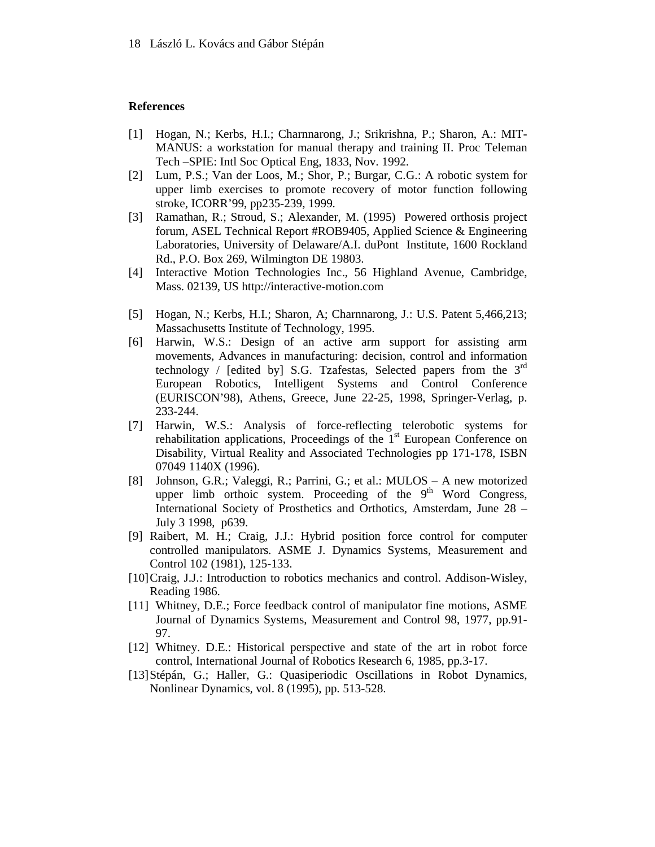#### **References**

- [1] Hogan, N.; Kerbs, H.I.; Charnnarong, J.; Srikrishna, P.; Sharon, A.: MIT-MANUS: a workstation for manual therapy and training II. Proc Teleman Tech –SPIE: Intl Soc Optical Eng, 1833, Nov. 1992.
- [2] Lum, P.S.; Van der Loos, M.; Shor, P.; Burgar, C.G.: A robotic system for upper limb exercises to promote recovery of motor function following stroke, ICORR'99, pp235-239, 1999.
- [3] Ramathan, R.; Stroud, S.; Alexander, M. (1995) Powered orthosis project forum, ASEL Technical Report #ROB9405, Applied Science & Engineering Laboratories, University of Delaware/A.I. duPont Institute, 1600 Rockland Rd., P.O. Box 269, Wilmington DE 19803.
- [4] Interactive Motion Technologies Inc., 56 Highland Avenue, Cambridge, Mass. 02139, US http://interactive-motion.com
- [5] Hogan, N.; Kerbs, H.I.; Sharon, A; Charnnarong, J.: U.S. Patent 5,466,213; Massachusetts Institute of Technology, 1995.
- [6] Harwin, W.S.: Design of an active arm support for assisting arm movements, Advances in manufacturing: decision, control and information technology / [edited by] S.G. Tzafestas, Selected papers from the  $3<sup>rd</sup>$ European Robotics, Intelligent Systems and Control Conference (EURISCON'98), Athens, Greece, June 22-25, 1998, Springer-Verlag, p. 233-244.
- [7] Harwin, W.S.: Analysis of force-reflecting telerobotic systems for rehabilitation applications, Proceedings of the  $1<sup>st</sup>$  European Conference on Disability, Virtual Reality and Associated Technologies pp 171-178, ISBN 07049 1140X (1996).
- [8] Johnson, G.R.; Valeggi, R.; Parrini, G.; et al.: MULOS A new motorized upper limb orthoic system. Proceeding of the  $9<sup>th</sup>$  Word Congress, International Society of Prosthetics and Orthotics, Amsterdam, June 28 – July 3 1998, p639.
- [9] Raibert, M. H.; Craig, J.J.: Hybrid position force control for computer controlled manipulators. ASME J. Dynamics Systems, Measurement and Control 102 (1981), 125-133.
- [10] Craig, J.J.: Introduction to robotics mechanics and control. Addison-Wisley, Reading 1986.
- [11] Whitney, D.E.; Force feedback control of manipulator fine motions, ASME Journal of Dynamics Systems, Measurement and Control 98, 1977, pp.91- 97.
- [12] Whitney. D.E.: Historical perspective and state of the art in robot force control, International Journal of Robotics Research 6, 1985, pp.3-17.
- [13] Stépán, G.; Haller, G.: Quasiperiodic Oscillations in Robot Dynamics, Nonlinear Dynamics*,* vol. 8 (1995), pp. 513-528.